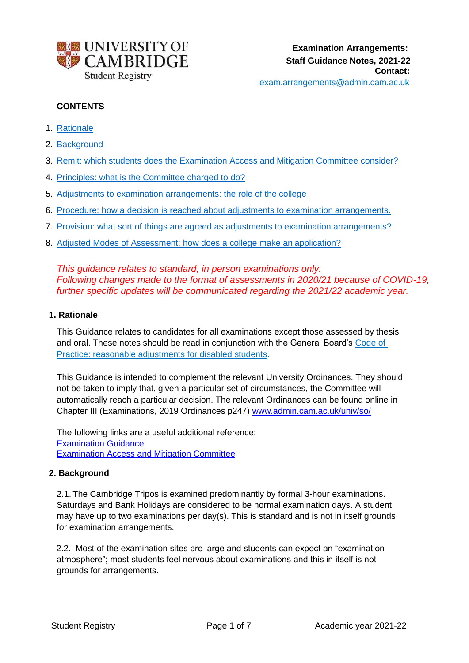

# **CONTENTS**

- 1. Rationale
- 2. Background
- 3. Remit: which students does the Examination Access and Mitigation Committee consider?
- 4. Principles: what is the Committee charged to do?
- 5. Adjustments to examination arrangements: the role of the college
- 6. Procedure: how a decision is reached about adjustments to examination arrangements.
- 7. Provision: what sort of things are agreed as adjustments to examination arrangements?
- 8. Adjusted Modes of Assessment: how does a college make an application?

*This guidance relates to standard, in person examinations only. Following changes made to the format of assessments in 2020/21 because of COVID-19, further specific updates will be communicated regarding the 2021/22 academic year.*

### **1. Rationale**

This Guidance relates to candidates for all examinations except those assessed by thesis and oral. These notes should be read in conjunction with the General Board's Code of [Practice: reasonable adjustments for disabled students.](https://www.educationalpolicy.admin.cam.ac.uk/files/cop_disabled_19-20.pdf)

This Guidance is intended to complement the relevant University Ordinances. They should not be taken to imply that, given a particular set of circumstances, the Committee will automatically reach a particular decision. The relevant Ordinances can be found online in Chapter III (Examinations, 2019 Ordinances p247) [www.admin.cam.ac.uk/univ/so/](https://www.admin.cam.ac.uk/univ/so/)

The following links are a useful additional reference: [Examination Guidance](https://www.student-registry.admin.cam.ac.uk/examinations-further-guidance-staff) [Examination Access and Mitigation Committee](https://www.student-registry.admin.cam.ac.uk/about-us/EAMC)

## **2. Background**

2.1. The Cambridge Tripos is examined predominantly by formal 3-hour examinations. Saturdays and Bank Holidays are considered to be normal examination days. A student may have up to two examinations per day(s). This is standard and is not in itself grounds for examination arrangements.

2.2. Most of the examination sites are large and students can expect an "examination atmosphere"; most students feel nervous about examinations and this in itself is not grounds for arrangements.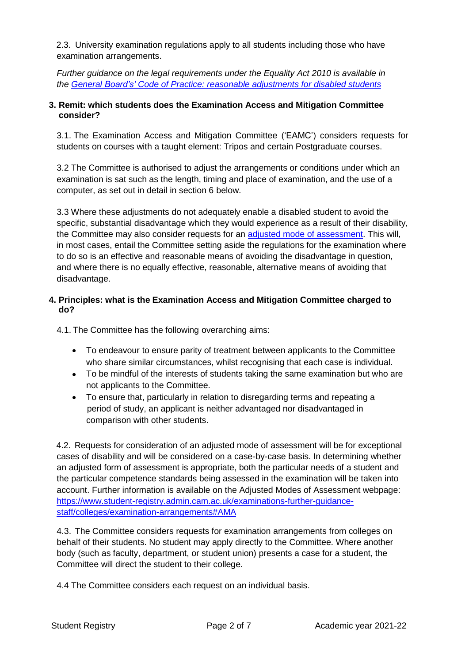2.3. University examination regulations apply to all students including those who have examination arrangements.

*Further guidance on the legal requirements under the Equality Act 2010 is available in the General Board's' [Code of Practice: reasonable adjustments for disabled students](https://www.educationalpolicy.admin.cam.ac.uk/supporting-students)*

## **3. Remit: which students does the Examination Access and Mitigation Committee consider?**

3.1. The Examination Access and Mitigation Committee ('EAMC') considers requests for students on courses with a taught element: Tripos and certain Postgraduate courses.

3.2 The Committee is authorised to adjust the arrangements or conditions under which an examination is sat such as the length, timing and place of examination, and the use of a computer, as set out in detail in section 6 below.

3.3 Where these adjustments do not adequately enable a disabled student to avoid the specific, substantial disadvantage which they would experience as a result of their disability, the Committee may also consider requests for an adjusted [mode of assessment.](https://www.student-registry.admin.cam.ac.uk/about-us/EAMC) This will, in most cases, entail the Committee setting aside the regulations for the examination where to do so is an effective and reasonable means of avoiding the disadvantage in question, and where there is no equally effective, reasonable, alternative means of avoiding that disadvantage.

## **4. Principles: what is the Examination Access and Mitigation Committee charged to do?**

4.1. The Committee has the following overarching aims:

- To endeavour to ensure parity of treatment between applicants to the Committee who share similar circumstances, whilst recognising that each case is individual.
- To be mindful of the interests of students taking the same examination but who are not applicants to the Committee.
- To ensure that, particularly in relation to disregarding terms and repeating a period of study, an applicant is neither advantaged nor disadvantaged in comparison with other students.

4.2. Requests for consideration of an adjusted mode of assessment will be for exceptional cases of disability and will be considered on a case-by-case basis. In determining whether an adjusted form of assessment is appropriate, both the particular needs of a student and the particular competence standards being assessed in the examination will be taken into account. Further information is available on the Adjusted Modes of Assessment webpage: [https://www.student-registry.admin.cam.ac.uk/examinations-further-guidance](https://www.student-registry.admin.cam.ac.uk/examinations-further-guidance-staff/colleges/examination-arrangements#AMA)[staff/colleges/examination-arrangements#AMA](https://www.student-registry.admin.cam.ac.uk/examinations-further-guidance-staff/colleges/examination-arrangements#AMA)

4.3. The Committee considers requests for examination arrangements from colleges on behalf of their students. No student may apply directly to the Committee. Where another body (such as faculty, department, or student union) presents a case for a student, the Committee will direct the student to their college.

4.4 The Committee considers each request on an individual basis.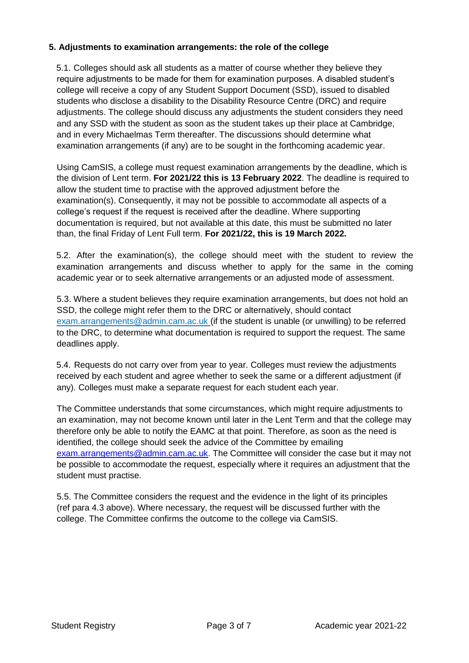## **5. Adjustments to examination arrangements: the role of the college**

5.1. Colleges should ask all students as a matter of course whether they believe they require adjustments to be made for them for examination purposes. A disabled student's college will receive a copy of any Student Support Document (SSD), issued to disabled students who disclose a disability to the Disability Resource Centre (DRC) and require adjustments. The college should discuss any adjustments the student considers they need and any SSD with the student as soon as the student takes up their place at Cambridge, and in every Michaelmas Term thereafter. The discussions should determine what examination arrangements (if any) are to be sought in the forthcoming academic year.

Using CamSIS, a college must request examination arrangements by the deadline, which is the division of Lent term. **For 2021/22 this is 13 February 2022**. The deadline is required to allow the student time to practise with the approved adjustment before the examination(s). Consequently, it may not be possible to accommodate all aspects of a college's request if the request is received after the deadline. Where supporting documentation is required, but not available at this date, this must be submitted no later than, the final Friday of Lent Full term. **For 2021/22, this is 19 March 2022.**

5.2. After the examination(s), the college should meet with the student to review the examination arrangements and discuss whether to apply for the same in the coming academic year or to seek alternative arrangements or an adjusted mode of assessment.

5.3. Where a student believes they require examination arrangements, but does not hold an SSD, the college might refer them to the DRC or alternatively, should contact [exam.arrangements@admin.cam.ac.uk \(](mailto:exam.arrangements@admin.cam.ac.uk)if the student is unable (or unwilling) to be referred to the DRC, to determine what documentation is required to support the request. The same deadlines apply.

5.4. Requests do not carry over from year to year. Colleges must review the adjustments received by each student and agree whether to seek the same or a different adjustment (if any). Colleges must make a separate request for each student each year.

The Committee understands that some circumstances, which might require adjustments to an examination, may not become known until later in the Lent Term and that the college may therefore only be able to notify the EAMC at that point. Therefore, as soon as the need is identified, the college should seek the advice of the Committee by emailing [exam.arrangements@admin.cam.ac.uk. T](mailto:exam.arrangements@admin.cam.ac.uk.)he Committee will consider the case but it may not be possible to accommodate the request, especially where it requires an adjustment that the student must practise.

5.5. The Committee considers the request and the evidence in the light of its principles (ref para 4.3 above). Where necessary, the request will be discussed further with the college. The Committee confirms the outcome to the college via CamSIS.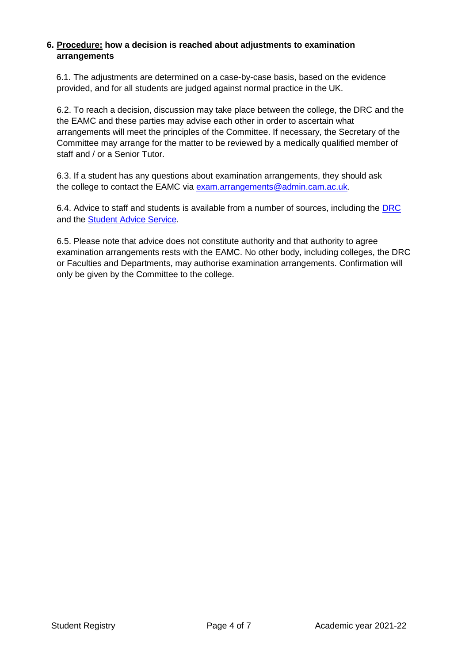## **6. Procedure: how a decision is reached about adjustments to examination arrangements**

6.1. The adjustments are determined on a case-by-case basis, based on the evidence provided, and for all students are judged against normal practice in the UK.

6.2. To reach a decision, discussion may take place between the college, the DRC and the the EAMC and these parties may advise each other in order to ascertain what arrangements will meet the principles of the Committee. If necessary, the Secretary of the Committee may arrange for the matter to be reviewed by a medically qualified member of staff and / or a Senior Tutor.

6.3. If a student has any questions about examination arrangements, they should ask the college to contact the EAMC via [exam.arrangements@admin.cam.ac.uk.](mailto:exam.arrangements@admin.cam.ac.uk)

6.4. Advice to staff and students is available from a number of sources, including the [DRC](http://www.admin.cam.ac.uk/univ/disability/students/exam.html) and the [Student Advice Service.](https://www.cambridgesu.co.uk/support/advice/)

6.5. Please note that advice does not constitute authority and that authority to agree examination arrangements rests with the EAMC. No other body, including colleges, the DRC or Faculties and Departments, may authorise examination arrangements. Confirmation will only be given by the Committee to the college.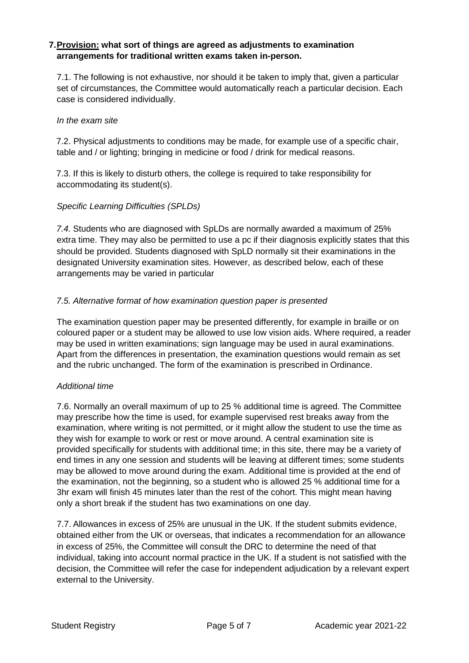## **7.Provision: what sort of things are agreed as adjustments to examination arrangements for traditional written exams taken in-person.**

7.1. The following is not exhaustive, nor should it be taken to imply that, given a particular set of circumstances, the Committee would automatically reach a particular decision. Each case is considered individually.

## *In the exam site*

7.2. Physical adjustments to conditions may be made, for example use of a specific chair, table and / or lighting; bringing in medicine or food / drink for medical reasons.

7.3. If this is likely to disturb others, the college is required to take responsibility for accommodating its student(s).

# *Specific Learning Difficulties (SPLDs)*

*7.4.* Students who are diagnosed with SpLDs are normally awarded a maximum of 25% extra time. They may also be permitted to use a pc if their diagnosis explicitly states that this should be provided. Students diagnosed with SpLD normally sit their examinations in the designated University examination sites. However, as described below, each of these arrangements may be varied in particular

# *7.5. Alternative format of how examination question paper is presented*

The examination question paper may be presented differently, for example in braille or on coloured paper or a student may be allowed to use low vision aids. Where required, a reader may be used in written examinations; sign language may be used in aural examinations. Apart from the differences in presentation, the examination questions would remain as set and the rubric unchanged. The form of the examination is prescribed in Ordinance.

## *Additional time*

7.6. Normally an overall maximum of up to 25 % additional time is agreed. The Committee may prescribe how the time is used, for example supervised rest breaks away from the examination, where writing is not permitted, or it might allow the student to use the time as they wish for example to work or rest or move around. A central examination site is provided specifically for students with additional time; in this site, there may be a variety of end times in any one session and students will be leaving at different times; some students may be allowed to move around during the exam. Additional time is provided at the end of the examination, not the beginning, so a student who is allowed 25 % additional time for a 3hr exam will finish 45 minutes later than the rest of the cohort. This might mean having only a short break if the student has two examinations on one day.

7.7. Allowances in excess of 25% are unusual in the UK. If the student submits evidence, obtained either from the UK or overseas, that indicates a recommendation for an allowance in excess of 25%, the Committee will consult the DRC to determine the need of that individual, taking into account normal practice in the UK. If a student is not satisfied with the decision, the Committee will refer the case for independent adjudication by a relevant expert external to the University.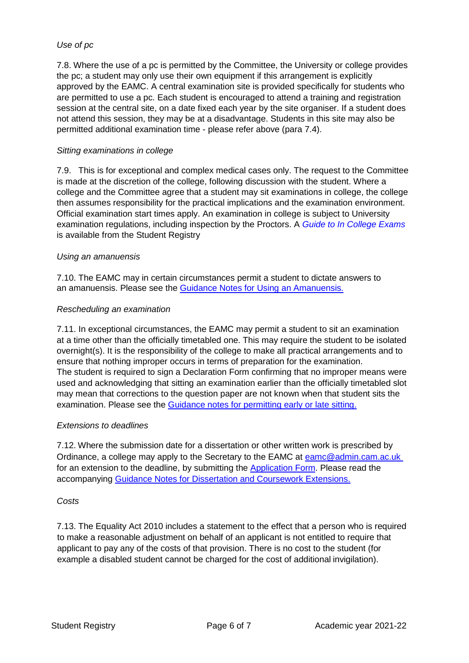## *Use of pc*

7.8. Where the use of a pc is permitted by the Committee, the University or college provides the pc; a student may only use their own equipment if this arrangement is explicitly approved by the EAMC. A central examination site is provided specifically for students who are permitted to use a pc. Each student is encouraged to attend a training and registration session at the central site, on a date fixed each year by the site organiser. If a student does not attend this session, they may be at a disadvantage. Students in this site may also be permitted additional examination time - please refer above (para 7.4).

## *Sitting examinations in college*

7.9. This is for exceptional and complex medical cases only. The request to the Committee is made at the discretion of the college, following discussion with the student. Where a college and the Committee agree that a student may sit examinations in college, the college then assumes responsibility for the practical implications and the examination environment. Official examination start times apply. An examination in college is subject to University examination regulations, including inspection by the Proctors. A *[Guide to In College Exams](https://www.student-registry.admin.cam.ac.uk/examinations-further-guidance-staff/colleges/guides-colleges)*  is available from the Student Registry

## *Using an amanuensis*

7.10. The EAMC may in certain circumstances permit a student to dictate answers to an amanuensis. Please see the [Guidance Notes for Using an Amanuensis.](https://www.student-registry.admin.cam.ac.uk/about-us/board-examinations/examination-guidance)

### *Rescheduling an examination*

7.11. In exceptional circumstances, the EAMC may permit a student to sit an examination at a time other than the officially timetabled one. This may require the student to be isolated overnight(s). It is the responsibility of the college to make all practical arrangements and to ensure that nothing improper occurs in terms of preparation for the examination. The student is required to sign a Declaration Form confirming that no improper means were used and acknowledging that sitting an examination earlier than the officially timetabled slot may mean that corrections to the question paper are not known when that student sits the examination. Please see the [Guidance notes for permitting early or late sitting.](https://www.student-registry.admin.cam.ac.uk/about-us/board-examinations/examination-guidance)

#### *Extensions to deadlines*

7.12. Where the submission date for a dissertation or other written work is prescribed by Ordinance, a college may apply to the Secretary to the EAMC at [eamc@admin.cam.ac.uk](mailto:eamc@admin.cam.ac.uk)  for an extension to the deadline, by submitting the [Application Form.](https://www.student-registry.admin.cam.ac.uk/about-us/EAMC) Please read the accompanying [Guidance Notes for Dissertation and Coursework Extensions.](https://www.student-registry.admin.cam.ac.uk/about-us/EAMC)

#### *Costs*

7.13. The Equality Act 2010 includes a statement to the effect that a person who is required to make a reasonable adjustment on behalf of an applicant is not entitled to require that applicant to pay any of the costs of that provision. There is no cost to the student (for example a disabled student cannot be charged for the cost of additional invigilation).